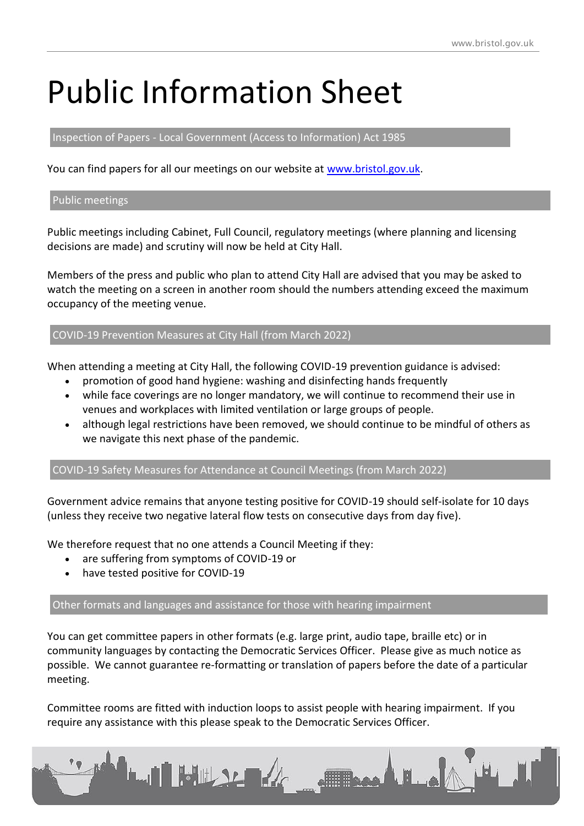# Public Information Sheet

# Inspection of Papers - Local Government (Access to Information) Act 1985

You can find papers for all our meetings on our website at [www.bristol.gov.uk.](http://www.bristol.gov.uk/)

### Public meetings

Public meetings including Cabinet, Full Council, regulatory meetings (where planning and licensing decisions are made) and scrutiny will now be held at City Hall.

Members of the press and public who plan to attend City Hall are advised that you may be asked to watch the meeting on a screen in another room should the numbers attending exceed the maximum occupancy of the meeting venue.

### COVID-19 Prevention Measures at City Hall (from March 2022)

When attending a meeting at City Hall, the following COVID-19 prevention guidance is advised:

- promotion of good hand hygiene: washing and disinfecting hands frequently
- while face coverings are no longer mandatory, we will continue to recommend their use in venues and workplaces with limited ventilation or large groups of people.
- although legal restrictions have been removed, we should continue to be mindful of others as we navigate this next phase of the pandemic.

# COVID-19 Safety Measures for Attendance at Council Meetings (from March 2022)

Government advice remains that anyone testing positive for COVID-19 should self-isolate for 10 days (unless they receive two negative lateral flow tests on consecutive days from day five).

We therefore request that no one attends a Council Meeting if they:

- are suffering from symptoms of COVID-19 or
- have tested positive for COVID-19

Other formats and languages and assistance for those with hearing impairment

You can get committee papers in other formats (e.g. large print, audio tape, braille etc) or in community languages by contacting the Democratic Services Officer. Please give as much notice as possible. We cannot guarantee re-formatting or translation of papers before the date of a particular meeting.

Committee rooms are fitted with induction loops to assist people with hearing impairment. If you require any assistance with this please speak to the Democratic Services Officer.

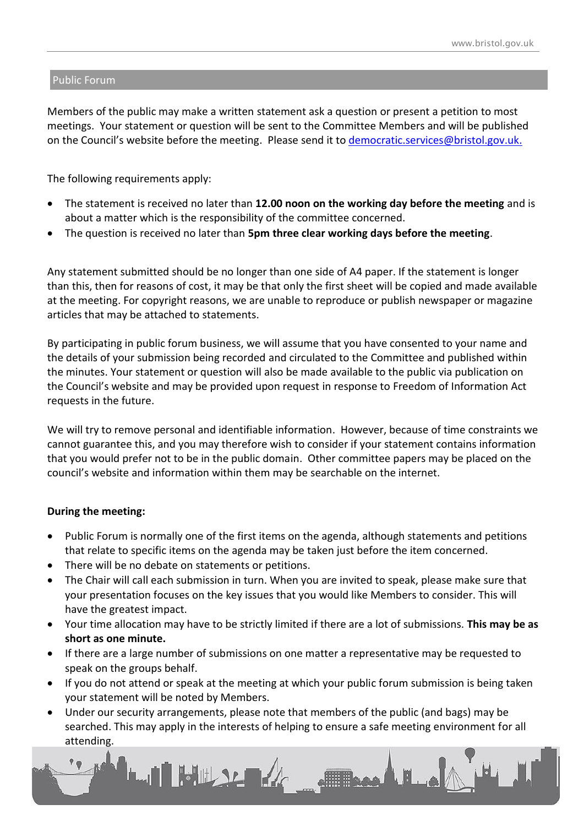### Public Forum

Members of the public may make a written statement ask a question or present a petition to most meetings. Your statement or question will be sent to the Committee Members and will be published on the Council's website before the meeting. Please send it to [democratic.services@bristol.gov.uk.](mailto:democratic.services@bristol.gov.uk)

The following requirements apply:

- The statement is received no later than **12.00 noon on the working day before the meeting** and is about a matter which is the responsibility of the committee concerned.
- The question is received no later than **5pm three clear working days before the meeting**.

Any statement submitted should be no longer than one side of A4 paper. If the statement is longer than this, then for reasons of cost, it may be that only the first sheet will be copied and made available at the meeting. For copyright reasons, we are unable to reproduce or publish newspaper or magazine articles that may be attached to statements.

By participating in public forum business, we will assume that you have consented to your name and the details of your submission being recorded and circulated to the Committee and published within the minutes. Your statement or question will also be made available to the public via publication on the Council's website and may be provided upon request in response to Freedom of Information Act requests in the future.

We will try to remove personal and identifiable information. However, because of time constraints we cannot guarantee this, and you may therefore wish to consider if your statement contains information that you would prefer not to be in the public domain. Other committee papers may be placed on the council's website and information within them may be searchable on the internet.

# **During the meeting:**

- Public Forum is normally one of the first items on the agenda, although statements and petitions that relate to specific items on the agenda may be taken just before the item concerned.
- There will be no debate on statements or petitions.
- The Chair will call each submission in turn. When you are invited to speak, please make sure that your presentation focuses on the key issues that you would like Members to consider. This will have the greatest impact.
- Your time allocation may have to be strictly limited if there are a lot of submissions. **This may be as short as one minute.**
- If there are a large number of submissions on one matter a representative may be requested to speak on the groups behalf.
- If you do not attend or speak at the meeting at which your public forum submission is being taken your statement will be noted by Members.
- Under our security arrangements, please note that members of the public (and bags) may be searched. This may apply in the interests of helping to ensure a safe meeting environment for all attending.